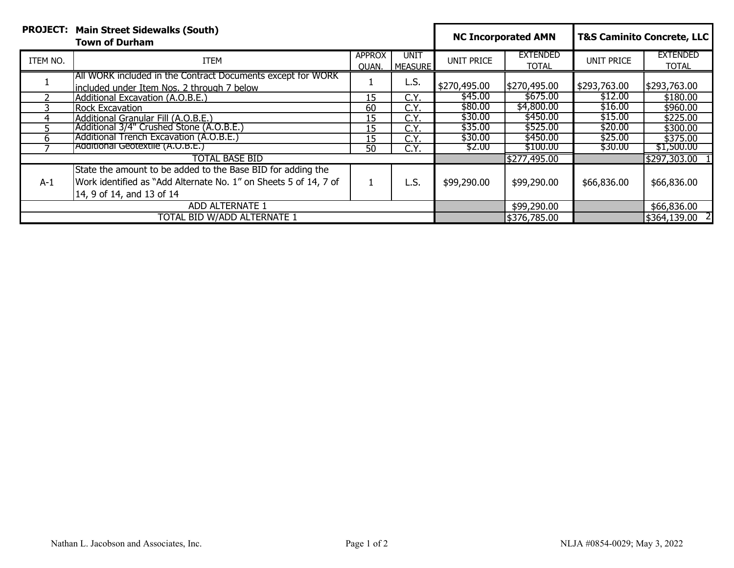|                             | <b>PROJECT: Main Street Sidewalks (South)</b><br><b>Town of Durham</b>                                      |                        |                        | <b>NC Incorporated AMN</b> |                                 | <b>T&amp;S Caminito Concrete, LLC</b> |                                 |
|-----------------------------|-------------------------------------------------------------------------------------------------------------|------------------------|------------------------|----------------------------|---------------------------------|---------------------------------------|---------------------------------|
| ITEM NO.                    | ITEM                                                                                                        | <b>APPROX</b><br>OUAN. | unit<br><b>MEASURE</b> | UNIT PRICE                 | <b>EXTENDED</b><br><b>TOTAL</b> | UNIT PRICE                            | <b>EXTENDED</b><br><b>TOTAL</b> |
|                             | [All WORK included in the Contract Documents except for WORK<br>lincluded under Item Nos. 2 through 7 below |                        | L.S.                   | \$270,495.00               | \$270,495.00                    | \$293,763.00                          | \$293,763.00                    |
|                             | Additional Excavation (A.O.B.E.)                                                                            | 15                     | C.Y.                   | \$45.00                    | \$675.00                        | \$12.00                               | \$180.00                        |
|                             | <b>Rock Excavation</b>                                                                                      | 60                     | C.Y                    | \$80.00                    | \$4,800.00                      | \$16.00                               | \$960.00                        |
|                             | Additional Granular Fill (A.O.B.E.)                                                                         | 15                     | C.Y.                   | \$30.00                    | \$450.00                        | \$15.00                               | \$225.00                        |
|                             | (Additional 3/4" Crushed Stone (A.O.B.E.)                                                                   | 15                     | C.Y.                   | \$35.00                    | \$525.00                        | \$20.00                               | \$300.00                        |
|                             | Additional Trench Excavation (A.O.B.E.)                                                                     | 15                     | C.Y.                   | \$30.00                    | \$450.00                        | \$25.00                               | \$375.00                        |
|                             | Additional Geotextile (A.O.B.E.)                                                                            | 50                     | C.Y.                   | \$2.00                     | \$100.00                        | \$30.00                               | \$1,500.00                      |
| <b>TOTAL BASE BID</b>       |                                                                                                             |                        |                        |                            | \$277,495.00                    |                                       | \$297,303.00                    |
|                             | State the amount to be added to the Base BID for adding the                                                 |                        |                        |                            |                                 |                                       |                                 |
| $A-1$                       | Work identified as "Add Alternate No. 1" on Sheets 5 of 14, 7 of                                            | $\perp$                | L.S.                   | \$99,290.00                | \$99,290.00                     | \$66,836.00                           | \$66,836.00                     |
|                             | 14, 9 of 14, and 13 of 14                                                                                   |                        |                        |                            |                                 |                                       |                                 |
| ADD ALTERNATE 1             |                                                                                                             |                        |                        | \$99,290.00                |                                 | \$66,836.00                           |                                 |
| TOTAL BID W/ADD ALTERNATE 1 |                                                                                                             |                        |                        |                            | \$376,785.00                    |                                       | \$364,139.00 2                  |